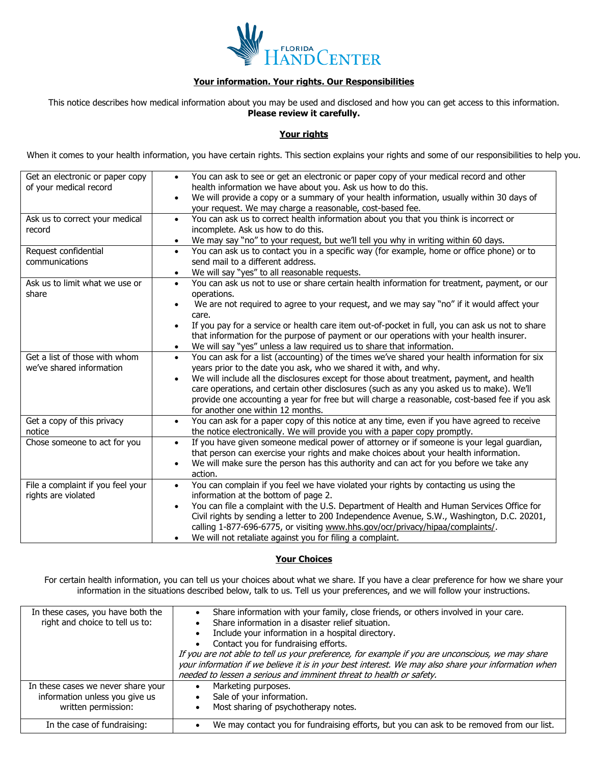

# **Your information. Your rights. Our Responsibilities**

This notice describes how medical information about you may be used and disclosed and how you can get access to this information. **Please review it carefully.**

## **Your rights**

When it comes to your health information, you have certain rights. This section explains your rights and some of our responsibilities to help you.

| Get an electronic or paper copy<br>of your medical record<br>Ask us to correct your medical<br>record<br>Request confidential<br>communications | You can ask to see or get an electronic or paper copy of your medical record and other<br>$\bullet$<br>health information we have about you. Ask us how to do this.<br>We will provide a copy or a summary of your health information, usually within 30 days of<br>$\bullet$<br>your request. We may charge a reasonable, cost-based fee.<br>You can ask us to correct health information about you that you think is incorrect or<br>$\bullet$<br>incomplete. Ask us how to do this.<br>We may say "no" to your request, but we'll tell you why in writing within 60 days.<br>$\bullet$<br>You can ask us to contact you in a specific way (for example, home or office phone) or to<br>$\bullet$<br>send mail to a different address. |
|-------------------------------------------------------------------------------------------------------------------------------------------------|------------------------------------------------------------------------------------------------------------------------------------------------------------------------------------------------------------------------------------------------------------------------------------------------------------------------------------------------------------------------------------------------------------------------------------------------------------------------------------------------------------------------------------------------------------------------------------------------------------------------------------------------------------------------------------------------------------------------------------------|
| Ask us to limit what we use or<br>share                                                                                                         | We will say "yes" to all reasonable requests.<br>$\bullet$<br>You can ask us not to use or share certain health information for treatment, payment, or our<br>$\bullet$<br>operations.<br>We are not required to agree to your request, and we may say "no" if it would affect your<br>$\bullet$<br>care.<br>If you pay for a service or health care item out-of-pocket in full, you can ask us not to share<br>$\bullet$<br>that information for the purpose of payment or our operations with your health insurer.<br>We will say "yes" unless a law required us to share that information.<br>$\bullet$                                                                                                                               |
| Get a list of those with whom<br>we've shared information                                                                                       | You can ask for a list (accounting) of the times we've shared your health information for six<br>$\bullet$<br>years prior to the date you ask, who we shared it with, and why.<br>We will include all the disclosures except for those about treatment, payment, and health<br>$\bullet$<br>care operations, and certain other disclosures (such as any you asked us to make). We'll<br>provide one accounting a year for free but will charge a reasonable, cost-based fee if you ask<br>for another one within 12 months.                                                                                                                                                                                                              |
| Get a copy of this privacy<br>notice                                                                                                            | You can ask for a paper copy of this notice at any time, even if you have agreed to receive<br>$\bullet$<br>the notice electronically. We will provide you with a paper copy promptly.                                                                                                                                                                                                                                                                                                                                                                                                                                                                                                                                                   |
| Chose someone to act for you                                                                                                                    | If you have given someone medical power of attorney or if someone is your legal guardian,<br>$\bullet$<br>that person can exercise your rights and make choices about your health information.<br>We will make sure the person has this authority and can act for you before we take any<br>$\bullet$<br>action.                                                                                                                                                                                                                                                                                                                                                                                                                         |
| File a complaint if you feel your<br>rights are violated                                                                                        | You can complain if you feel we have violated your rights by contacting us using the<br>$\bullet$<br>information at the bottom of page 2.<br>You can file a complaint with the U.S. Department of Health and Human Services Office for<br>$\bullet$<br>Civil rights by sending a letter to 200 Independence Avenue, S.W., Washington, D.C. 20201,<br>calling 1-877-696-6775, or visiting www.hhs.gov/ocr/privacy/hipaa/complaints/.<br>We will not retaliate against you for filing a complaint.<br>$\bullet$                                                                                                                                                                                                                            |

### **Your Choices**

For certain health information, you can tell us your choices about what we share. If you have a clear preference for how we share your information in the situations described below, talk to us. Tell us your preferences, and we will follow your instructions.

| In these cases, you have both the<br>right and choice to tell us to:                        | Share information with your family, close friends, or others involved in your care.<br>Share information in a disaster relief situation.<br>Include your information in a hospital directory.<br>Contact you for fundraising efforts.<br>If you are not able to tell us your preference, for example if you are unconscious, we may share<br>your information if we believe it is in your best interest. We may also share your information when<br>needed to lessen a serious and imminent threat to health or safety. |
|---------------------------------------------------------------------------------------------|-------------------------------------------------------------------------------------------------------------------------------------------------------------------------------------------------------------------------------------------------------------------------------------------------------------------------------------------------------------------------------------------------------------------------------------------------------------------------------------------------------------------------|
| In these cases we never share your<br>information unless you give us<br>written permission: | Marketing purposes.<br>Sale of your information.<br>Most sharing of psychotherapy notes.                                                                                                                                                                                                                                                                                                                                                                                                                                |
| In the case of fundraising:                                                                 | We may contact you for fundraising efforts, but you can ask to be removed from our list.                                                                                                                                                                                                                                                                                                                                                                                                                                |